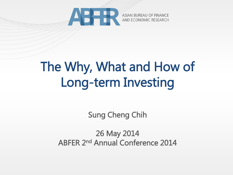

# The Why, What and How of Long-term Investing

Sung Cheng Chih

26 May 2014 ABFER 2nd Annual Conference 2014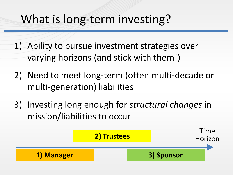## What is long-term investing?

- 1) Ability to pursue investment strategies over varying horizons (and stick with them!)
- 2) Need to meet long-term (often multi-decade or multi-generation) liabilities
- 3) Investing long enough for *structural changes* in mission/liabilities to occur

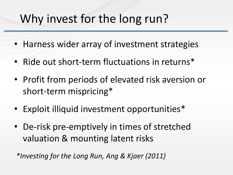## Why invest for the long run?

- Harness wider array of investment strategies
- Ride out short-term fluctuations in returns\*
- Profit from periods of elevated risk aversion or short-term mispricing\*
- Exploit illiquid investment opportunities\*
- De-risk pre-emptively in times of stretched valuation & mounting latent risks

*\*Investing for the Long Run, Ang & Kjaer (2011)*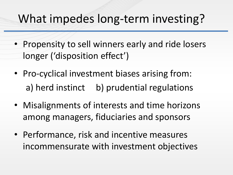## What impedes long-term investing?

- Propensity to sell winners early and ride losers longer ('disposition effect')
- Pro-cyclical investment biases arising from: a) herd instinct b) prudential regulations
- Misalignments of interests and time horizons among managers, fiduciaries and sponsors
- Performance, risk and incentive measures incommensurate with investment objectives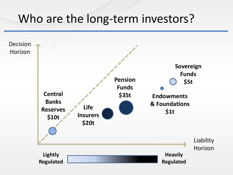#### Who are the long-term investors?

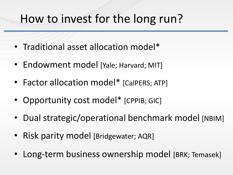### How to invest for the long run?

- Traditional asset allocation model\*
- Endowment model [Yale; Harvard; MIT]
- Factor allocation model\* [CalPERS; ATP]
- Opportunity cost model\* [CPPIB; GIC]
- Dual strategic/operational benchmark model [NBIM]
- Risk parity model [Bridgewater; AQR]
- Long-term business ownership model [BRK; Temasek]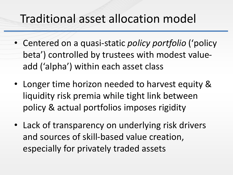### Traditional asset allocation model

- Centered on a quasi-static *policy portfolio* ('policy beta') controlled by trustees with modest valueadd ('alpha') within each asset class
- Longer time horizon needed to harvest equity & liquidity risk premia while tight link between policy & actual portfolios imposes rigidity
- Lack of transparency on underlying risk drivers and sources of skill-based value creation, especially for privately traded assets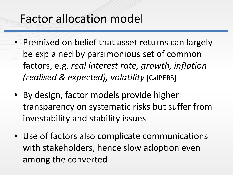#### Factor allocation model

- Premised on belief that asset returns can largely be explained by parsimonious set of common factors, e.g. *real interest rate, growth, inflation (realised & expected), volatility* [CalPERS]
- By design, factor models provide higher transparency on systematic risks but suffer from investability and stability issues
- Use of factors also complicate communications with stakeholders, hence slow adoption even among the converted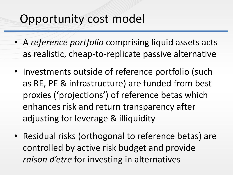#### Opportunity cost model

- A *reference portfolio* comprising liquid assets acts as realistic, cheap-to-replicate passive alternative
- Investments outside of reference portfolio (such as RE, PE & infrastructure) are funded from best proxies ('projections') of reference betas which enhances risk and return transparency after adjusting for leverage & illiquidity
- Residual risks (orthogonal to reference betas) are controlled by active risk budget and provide *raison d'etre* for investing in alternatives